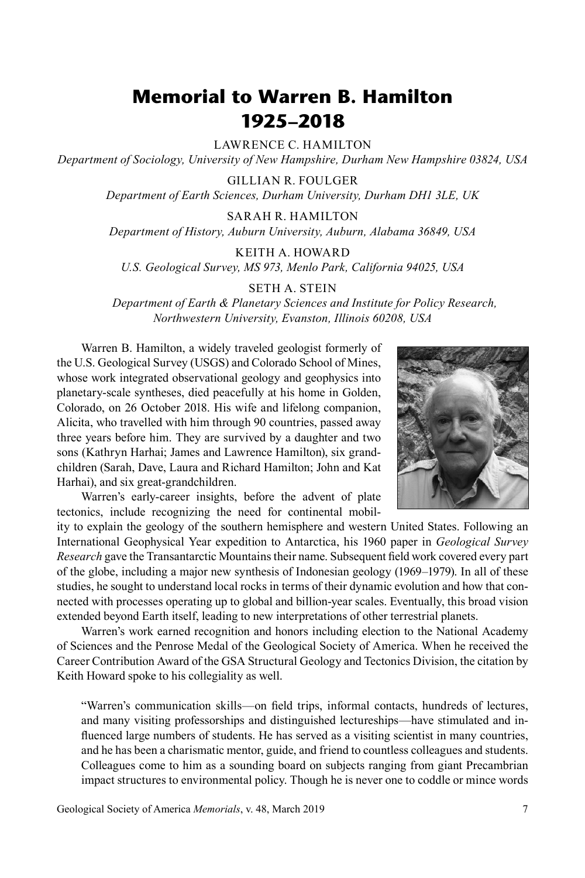## **Memorial to Warren B. Hamilton 1925–2018**

LAWRENCE C. HAMILTON

*Department of Sociology, University of New Hampshire, Durham New Hampshire 03824, USA*

GILLIAN R. FOULGER

*Department of Earth Sciences, Durham University, Durham DH1 3LE, UK*

SARAH R. HAMILTON

*Department of History, Auburn University, Auburn, Alabama 36849, USA*

KEITH A. HOWARD

*U.S. Geological Survey, MS 973, Menlo Park, California 94025, USA*

## SETH A. STEIN

*Department of Earth & Planetary Sciences and Institute for Policy Research, Northwestern University, Evanston, Illinois 60208, USA* 

Warren B. Hamilton, a widely traveled geologist formerly of the U.S. Geological Survey (USGS) and Colorado School of Mines, whose work integrated observational geology and geophysics into planetary-scale syntheses, died peacefully at his home in Golden, Colorado, on 26 October 2018. His wife and lifelong companion, Alicita, who travelled with him through 90 countries, passed away three years before him. They are survived by a daughter and two sons (Kathryn Harhai; James and Lawrence Hamilton), six grandchildren (Sarah, Dave, Laura and Richard Hamilton; John and Kat Harhai), and six great-grandchildren.

Warren's early-career insights, before the advent of plate tectonics, include recognizing the need for continental mobil-

ity to explain the geology of the southern hemisphere and western United States. Following an International Geophysical Year expedition to Antarctica, his 1960 paper in *Geological Survey Research* gave the Transantarctic Mountains their name. Subsequent field work covered every part of the globe, including a major new synthesis of Indonesian geology (1969–1979). In all of these studies, he sought to understand local rocks in terms of their dynamic evolution and how that connected with processes operating up to global and billion-year scales. Eventually, this broad vision extended beyond Earth itself, leading to new interpretations of other terrestrial planets.

Warren's work earned recognition and honors including election to the National Academy of Sciences and the Penrose Medal of the Geological Society of America. When he received the Career Contribution Award of the GSA Structural Geology and Tectonics Division, the citation by Keith Howard spoke to his collegiality as well.

"Warren's communication skills—on field trips, informal contacts, hundreds of lectures, and many visiting professorships and distinguished lectureships—have stimulated and influenced large numbers of students. He has served as a visiting scientist in many countries, and he has been a charismatic mentor, guide, and friend to countless colleagues and students. Colleagues come to him as a sounding board on subjects ranging from giant Precambrian impact structures to environmental policy. Though he is never one to coddle or mince words

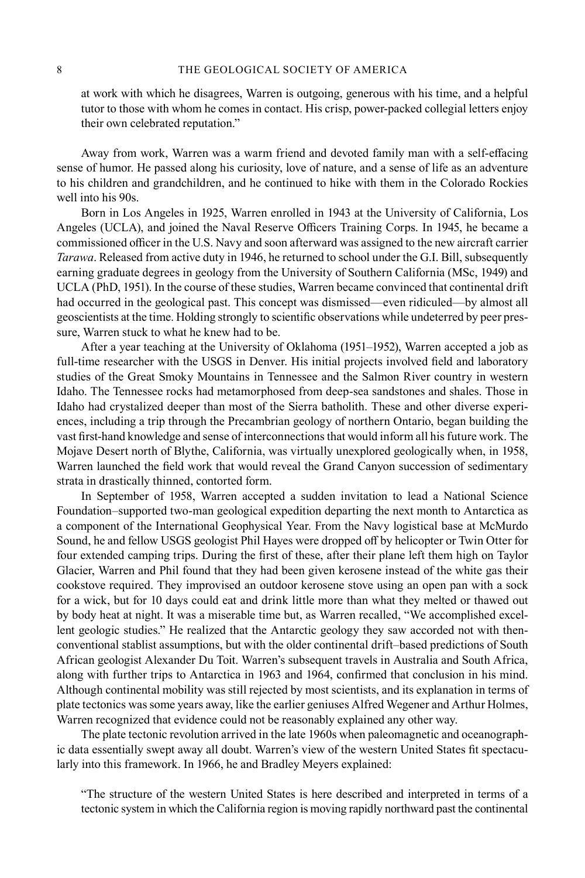at work with which he disagrees, Warren is outgoing, generous with his time, and a helpful tutor to those with whom he comes in contact. His crisp, power-packed collegial letters enjoy their own celebrated reputation."

Away from work, Warren was a warm friend and devoted family man with a self-effacing sense of humor. He passed along his curiosity, love of nature, and a sense of life as an adventure to his children and grandchildren, and he continued to hike with them in the Colorado Rockies well into his 90s.

Born in Los Angeles in 1925, Warren enrolled in 1943 at the University of California, Los Angeles (UCLA), and joined the Naval Reserve Officers Training Corps. In 1945, he became a commissioned officer in the U.S. Navy and soon afterward was assigned to the new aircraft carrier *Tarawa*. Released from active duty in 1946, he returned to school under the G.I. Bill, subsequently earning graduate degrees in geology from the University of Southern California (MSc, 1949) and UCLA (PhD, 1951). In the course of these studies, Warren became convinced that continental drift had occurred in the geological past. This concept was dismissed—even ridiculed—by almost all geoscientists at the time. Holding strongly to scientific observations while undeterred by peer pressure, Warren stuck to what he knew had to be.

After a year teaching at the University of Oklahoma (1951–1952), Warren accepted a job as full-time researcher with the USGS in Denver. His initial projects involved field and laboratory studies of the Great Smoky Mountains in Tennessee and the Salmon River country in western Idaho. The Tennessee rocks had metamorphosed from deep-sea sandstones and shales. Those in Idaho had crystalized deeper than most of the Sierra batholith. These and other diverse experiences, including a trip through the Precambrian geology of northern Ontario, began building the vast first-hand knowledge and sense of interconnections that would inform all his future work. The Mojave Desert north of Blythe, California, was virtually unexplored geologically when, in 1958, Warren launched the field work that would reveal the Grand Canyon succession of sedimentary strata in drastically thinned, contorted form.

In September of 1958, Warren accepted a sudden invitation to lead a National Science Foundation–supported two-man geological expedition departing the next month to Antarctica as a component of the International Geophysical Year. From the Navy logistical base at McMurdo Sound, he and fellow USGS geologist Phil Hayes were dropped off by helicopter or Twin Otter for four extended camping trips. During the first of these, after their plane left them high on Taylor Glacier, Warren and Phil found that they had been given kerosene instead of the white gas their cookstove required. They improvised an outdoor kerosene stove using an open pan with a sock for a wick, but for 10 days could eat and drink little more than what they melted or thawed out by body heat at night. It was a miserable time but, as Warren recalled, "We accomplished excellent geologic studies." He realized that the Antarctic geology they saw accorded not with thenconventional stablist assumptions, but with the older continental drift–based predictions of South African geologist Alexander Du Toit. Warren's subsequent travels in Australia and South Africa, along with further trips to Antarctica in 1963 and 1964, confirmed that conclusion in his mind. Although continental mobility was still rejected by most scientists, and its explanation in terms of plate tectonics was some years away, like the earlier geniuses Alfred Wegener and Arthur Holmes, Warren recognized that evidence could not be reasonably explained any other way.

The plate tectonic revolution arrived in the late 1960s when paleomagnetic and oceanographic data essentially swept away all doubt. Warren's view of the western United States fit spectacularly into this framework. In 1966, he and Bradley Meyers explained:

"The structure of the western United States is here described and interpreted in terms of a tectonic system in which the California region is moving rapidly northward past the continental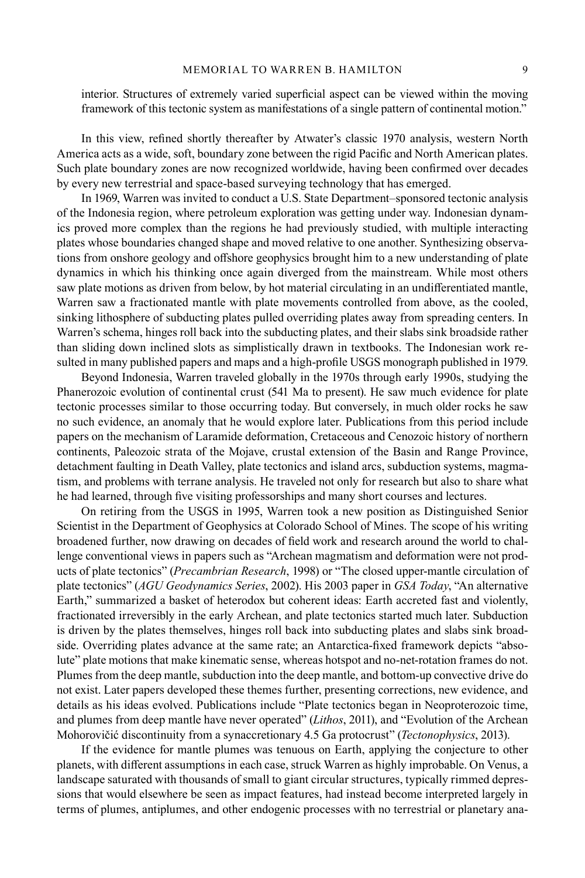interior. Structures of extremely varied superficial aspect can be viewed within the moving framework of this tectonic system as manifestations of a single pattern of continental motion."

In this view, refined shortly thereafter by Atwater's classic 1970 analysis, western North America acts as a wide, soft, boundary zone between the rigid Pacific and North American plates. Such plate boundary zones are now recognized worldwide, having been confirmed over decades by every new terrestrial and space-based surveying technology that has emerged.

In 1969, Warren was invited to conduct a U.S. State Department–sponsored tectonic analysis of the Indonesia region, where petroleum exploration was getting under way. Indonesian dynamics proved more complex than the regions he had previously studied, with multiple interacting plates whose boundaries changed shape and moved relative to one another. Synthesizing observations from onshore geology and offshore geophysics brought him to a new understanding of plate dynamics in which his thinking once again diverged from the mainstream. While most others saw plate motions as driven from below, by hot material circulating in an undifferentiated mantle, Warren saw a fractionated mantle with plate movements controlled from above, as the cooled, sinking lithosphere of subducting plates pulled overriding plates away from spreading centers. In Warren's schema, hinges roll back into the subducting plates, and their slabs sink broadside rather than sliding down inclined slots as simplistically drawn in textbooks. The Indonesian work resulted in many published papers and maps and a high-profile USGS monograph published in 1979.

Beyond Indonesia, Warren traveled globally in the 1970s through early 1990s, studying the Phanerozoic evolution of continental crust (541 Ma to present). He saw much evidence for plate tectonic processes similar to those occurring today. But conversely, in much older rocks he saw no such evidence, an anomaly that he would explore later. Publications from this period include papers on the mechanism of Laramide deformation, Cretaceous and Cenozoic history of northern continents, Paleozoic strata of the Mojave, crustal extension of the Basin and Range Province, detachment faulting in Death Valley, plate tectonics and island arcs, subduction systems, magmatism, and problems with terrane analysis. He traveled not only for research but also to share what he had learned, through five visiting professorships and many short courses and lectures.

On retiring from the USGS in 1995, Warren took a new position as Distinguished Senior Scientist in the Department of Geophysics at Colorado School of Mines. The scope of his writing broadened further, now drawing on decades of field work and research around the world to challenge conventional views in papers such as "Archean magmatism and deformation were not products of plate tectonics" (*Precambrian Research*, 1998) or "The closed upper-mantle circulation of plate tectonics" (*AGU Geodynamics Series*, 2002). His 2003 paper in *GSA Today*, "An alternative Earth," summarized a basket of heterodox but coherent ideas: Earth accreted fast and violently, fractionated irreversibly in the early Archean, and plate tectonics started much later. Subduction is driven by the plates themselves, hinges roll back into subducting plates and slabs sink broadside. Overriding plates advance at the same rate; an Antarctica-fixed framework depicts "absolute" plate motions that make kinematic sense, whereas hotspot and no-net-rotation frames do not. Plumes from the deep mantle, subduction into the deep mantle, and bottom-up convective drive do not exist. Later papers developed these themes further, presenting corrections, new evidence, and details as his ideas evolved. Publications include "Plate tectonics began in Neoproterozoic time, and plumes from deep mantle have never operated" (*Lithos*, 2011), and "Evolution of the Archean Mohorovičić discontinuity from a synaccretionary 4.5 Ga protocrust" (*Tectonophysics*, 2013).

If the evidence for mantle plumes was tenuous on Earth, applying the conjecture to other planets, with different assumptions in each case, struck Warren as highly improbable. On Venus, a landscape saturated with thousands of small to giant circular structures, typically rimmed depressions that would elsewhere be seen as impact features, had instead become interpreted largely in terms of plumes, antiplumes, and other endogenic processes with no terrestrial or planetary ana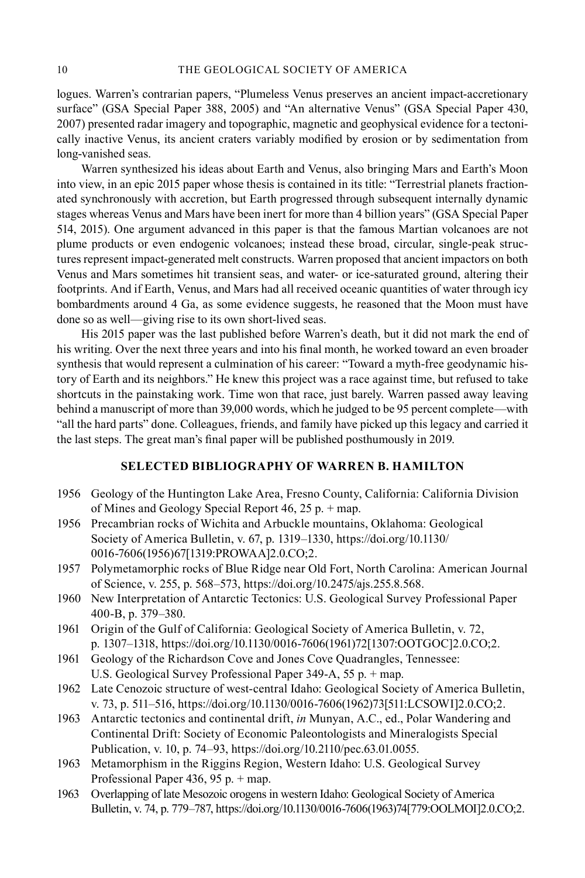logues. Warren's contrarian papers, "Plumeless Venus preserves an ancient impact-accretionary surface" (GSA Special Paper 388, 2005) and "An alternative Venus" (GSA Special Paper 430, 2007) presented radar imagery and topographic, magnetic and geophysical evidence for a tectonically inactive Venus, its ancient craters variably modified by erosion or by sedimentation from long-vanished seas.

Warren synthesized his ideas about Earth and Venus, also bringing Mars and Earth's Moon into view, in an epic 2015 paper whose thesis is contained in its title: "Terrestrial planets fractionated synchronously with accretion, but Earth progressed through subsequent internally dynamic stages whereas Venus and Mars have been inert for more than 4 billion years" (GSA Special Paper 514, 2015). One argument advanced in this paper is that the famous Martian volcanoes are not plume products or even endogenic volcanoes; instead these broad, circular, single-peak structures represent impact-generated melt constructs. Warren proposed that ancient impactors on both Venus and Mars sometimes hit transient seas, and water- or ice-saturated ground, altering their footprints. And if Earth, Venus, and Mars had all received oceanic quantities of water through icy bombardments around 4 Ga, as some evidence suggests, he reasoned that the Moon must have done so as well—giving rise to its own short-lived seas.

His 2015 paper was the last published before Warren's death, but it did not mark the end of his writing. Over the next three years and into his final month, he worked toward an even broader synthesis that would represent a culmination of his career: "Toward a myth-free geodynamic history of Earth and its neighbors." He knew this project was a race against time, but refused to take shortcuts in the painstaking work. Time won that race, just barely. Warren passed away leaving behind a manuscript of more than 39,000 words, which he judged to be 95 percent complete—with "all the hard parts" done. Colleagues, friends, and family have picked up this legacy and carried it the last steps. The great man's final paper will be published posthumously in 2019.

## **SELECTED BIBLIOGRAPHY OF WARREN B. HAMILTON**

- 1956 Geology of the Huntington Lake Area, Fresno County, California: California Division of Mines and Geology Special Report 46, 25 p. + map.
- 1956 Precambrian rocks of Wichita and Arbuckle mountains, Oklahoma: Geological Society of America Bulletin, v. 67, p. 1319–1330, [https://doi.org/10.1130/](https://doi.org/10.1130/0016-7606(1956)67) [0016-7606\(1956\)67](https://doi.org/10.1130/0016-7606(1956)67)[1319:PROWAA]2.0.CO;2.
- 1957 Polymetamorphic rocks of Blue Ridge near Old Fort, North Carolina: American Journal of Science, v. 255, p. 568–573, <https://doi.org/10.2475/ajs.255.8.568>.
- 1960 New Interpretation of Antarctic Tectonics: U.S. Geological Survey Professional Paper 400-B, p. 379–380.
- 1961 Origin of the Gulf of California: Geological Society of America Bulletin, v. 72, p. 1307–1318, [https://doi.org/10.1130/0016-7606\(1961\)72](https://doi.org/10.1130/0016-7606(1961)72)[1307:OOTGOC]2.0.CO;2.
- 1961 Geology of the Richardson Cove and Jones Cove Quadrangles, Tennessee: U.S. Geological Survey Professional Paper 349-A, 55 p. + map.
- 1962 Late Cenozoic structure of west-central Idaho: Geological Society of America Bulletin, v. 73, p. 511–516, [https://doi.org/10.1130/0016-7606\(1962\)73\[](https://doi.org/10.1130/0016-7606(1962)73)511:LCSOWI]2.0.CO;2.
- 1963 Antarctic tectonics and continental drift, *in* Munyan, A.C., ed., Polar Wandering and Continental Drift: Society of Economic Paleontologists and Mineralogists Special Publication, v. 10, p. 74–93, <https://doi.org/10.2110/pec.63.01.0055>.
- 1963 Metamorphism in the Riggins Region, Western Idaho: U.S. Geological Survey Professional Paper 436, 95 p. + map.
- 1963 Overlapping of late Mesozoic orogens in western Idaho: Geological Society of America Bulletin, v. 74, p. 779–787, [https://doi.org/10.1130/0016-7606\(1963\)74\[](https://doi.org/10.1130/0016-7606(1963)74)779:OOLMOI]2.0.CO;2.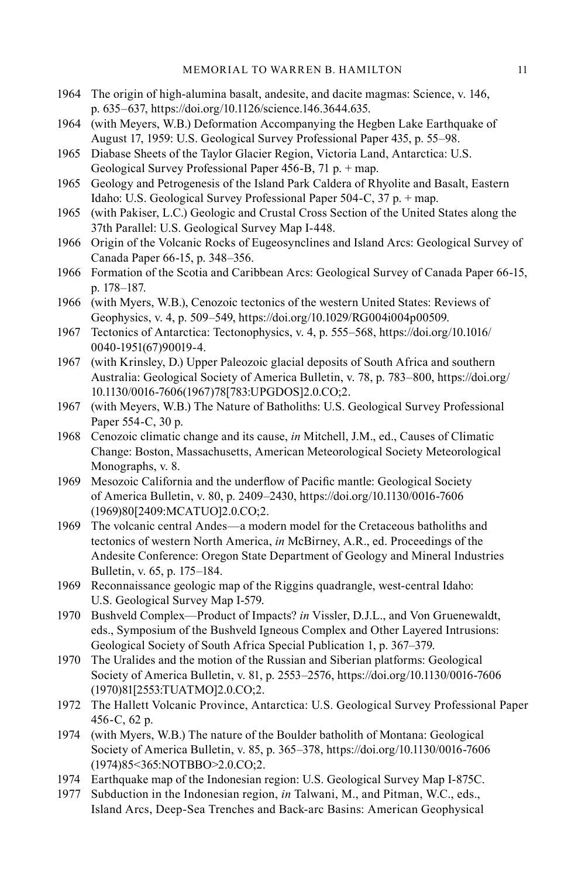- 1964 The origin of high-alumina basalt, andesite, and dacite magmas: Science, v. 146, p. 635–637, [https://doi.org/10.1126/science.146.3644.635.](https://doi.org/10.1126/science.146.3644.635)
- 1964 (with Meyers, W.B.) Deformation Accompanying the Hegben Lake Earthquake of August 17, 1959: U.S. Geological Survey Professional Paper 435, p. 55–98.
- 1965 Diabase Sheets of the Taylor Glacier Region, Victoria Land, Antarctica: U.S. Geological Survey Professional Paper 456-B, 71 p. + map.
- 1965 Geology and Petrogenesis of the Island Park Caldera of Rhyolite and Basalt, Eastern Idaho: U.S. Geological Survey Professional Paper 504-C, 37 p. + map.
- 1965 (with Pakiser, L.C.) Geologic and Crustal Cross Section of the United States along the 37th Parallel: U.S. Geological Survey Map I-448.
- 1966 Origin of the Volcanic Rocks of Eugeosynclines and Island Arcs: Geological Survey of Canada Paper 66-15, p. 348–356.
- 1966 Formation of the Scotia and Caribbean Arcs: Geological Survey of Canada Paper 66-15, p. 178–187.
- 1966 (with Myers, W.B.), Cenozoic tectonics of the western United States: Reviews of Geophysics, v. 4, p. 509–549, [https://doi.org/10.1029/RG004i004p00509.](https://doi.org/10.1029/RG004i004p00509)
- 1967 Tectonics of Antarctica: Tectonophysics, v. 4, p. 555–568, [https://doi.org/10.1016/](https://doi.org/10.1016/0040-1951(67)90019-4) [0040-1951\(67\)90019-4.](https://doi.org/10.1016/0040-1951(67)90019-4)
- 1967 (with Krinsley, D.) Upper Paleozoic glacial deposits of South Africa and southern Australia: Geological Society of America Bulletin, v. 78, p. 783–800, [https://doi.org/](https://doi.org/10.1130/0016-7606(1967)78) [10.1130/0016-7606\(1967\)78\[](https://doi.org/10.1130/0016-7606(1967)78)783:UPGDOS]2.0.CO;2.
- 1967 (with Meyers, W.B.) The Nature of Batholiths: U.S. Geological Survey Professional Paper 554-C, 30 p.
- 1968 Cenozoic climatic change and its cause, *in* Mitchell, J.M., ed., Causes of Climatic Change: Boston, Massachusetts, American Meteorological Society Meteorological Monographs, v. 8.
- 1969 Mesozoic California and the underflow of Pacific mantle: Geological Society of America Bulletin, v. 80, p. 2409–2430, [https://doi.org/10.1130/0016-7606](https://doi.org/10.1130/0016-7606(1969)80) [\(1969\)80](https://doi.org/10.1130/0016-7606(1969)80)[2409:MCATUO]2.0.CO;2.
- 1969 The volcanic central Andes—a modern model for the Cretaceous batholiths and tectonics of western North America, *in* McBirney, A.R., ed. Proceedings of the Andesite Conference: Oregon State Department of Geology and Mineral Industries Bulletin, v. 65, p. 175–184.
- 1969 Reconnaissance geologic map of the Riggins quadrangle, west-central Idaho: U.S. Geological Survey Map I-579.
- 1970 Bushveld Complex—Product of Impacts? *in* Vissler, D.J.L., and Von Gruenewaldt, eds., Symposium of the Bushveld Igneous Complex and Other Layered Intrusions: Geological Society of South Africa Special Publication 1, p. 367–379.
- 1970 The Uralides and the motion of the Russian and Siberian platforms: Geological Society of America Bulletin, v. 81, p. 2553–2576, [https://doi.org/10.1130/0016-7606](https://doi.org/10.1130/0016-7606(1970)81) [\(1970\)81](https://doi.org/10.1130/0016-7606(1970)81)[2553:TUATMO]2.0.CO;2.
- 1972 The Hallett Volcanic Province, Antarctica: U.S. Geological Survey Professional Paper 456-C, 62 p.
- 1974 (with Myers, W.B.) The nature of the Boulder batholith of Montana: Geological Society of America Bulletin, v. 85, p. 365–378, [https://doi.org/10.1130/0016-7606](https://doi.org/10.1130/0016-7606(1974)85) [\(1974\)85<](https://doi.org/10.1130/0016-7606(1974)85)365:NOTBBO>2.0.CO;2.
- 1974 Earthquake map of the Indonesian region: U.S. Geological Survey Map I-875C.
- 1977 Subduction in the Indonesian region, *in* Talwani, M., and Pitman, W.C., eds., Island Arcs, Deep-Sea Trenches and Back-arc Basins: American Geophysical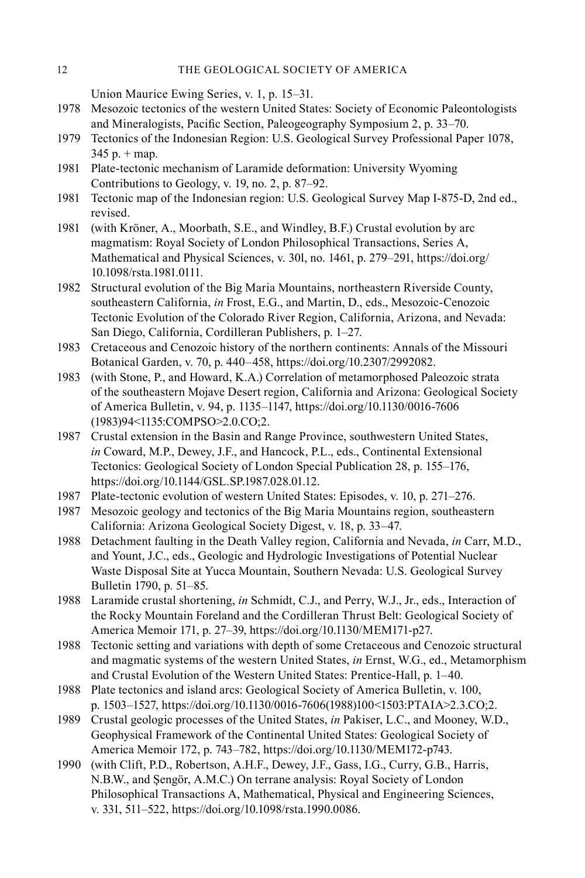Union Maurice Ewing Series, v. 1, p. 15–31.

- 1978 Mesozoic tectonics of the western United States: Society of Economic Paleontologists and Mineralogists, Pacific Section, Paleogeography Symposium 2, p. 33–70.
- 1979 Tectonics of the Indonesian Region: U.S. Geological Survey Professional Paper 1078,  $345$  p.  $+$  map.
- 1981 Plate-tectonic mechanism of Laramide deformation: University Wyoming Contributions to Geology, v. 19, no. 2, p. 87–92.
- 1981 Tectonic map of the Indonesian region: U.S. Geological Survey Map I-875-D, 2nd ed., revised.
- 1981 (with Kröner, A., Moorbath, S.E., and Windley, B.F.) Crustal evolution by arc magmatism: Royal Society of London Philosophical Transactions, Series A, Mathematical and Physical Sciences, v. 30l, no. 1461, p. 279–291, [https://doi.org/](https://doi.org/10.1098/rsta.1981.0111) [10.1098/rsta.1981.0111.](https://doi.org/10.1098/rsta.1981.0111)
- 1982 Structural evolution of the Big Maria Mountains, northeastern Riverside County, southeastern California, *in* Frost, E.G., and Martin, D., eds., Mesozoic-Cenozoic Tectonic Evolution of the Colorado River Region, California, Arizona, and Nevada: San Diego, California, Cordilleran Publishers, p. 1–27.
- 1983 Cretaceous and Cenozoic history of the northern continents: Annals of the Missouri Botanical Garden, v. 70, p. 440–458, [https://doi.org/10.2307/2992082.](https://doi.org/10.2307/2992082)
- 1983 (with Stone, P., and Howard, K.A.) Correlation of metamorphosed Paleozoic strata of the southeastern Mojave Desert region, California and Arizona: Geological Society of America Bulletin, v. 94, p. 1135–1147, [https://doi.org/10.1130/0016-7606](https://doi.org/10.1130/0016-7606(1983)94) [\(1983\)94<](https://doi.org/10.1130/0016-7606(1983)94)1135:COMPSO>2.0.CO;2.
- 1987 Crustal extension in the Basin and Range Province, southwestern United States, *in* Coward, M.P., Dewey, J.F., and Hancock, P.L., eds., Continental Extensional Tectonics: Geological Society of London Special Publication 28, p. 155–176, <https://doi.org/10.1144/GSL.SP.1987.028.01.12>.
- 1987 Plate-tectonic evolution of western United States: Episodes, v. 10, p. 271–276.
- 1987 Mesozoic geology and tectonics of the Big Maria Mountains region, southeastern California: Arizona Geological Society Digest, v. 18, p. 33–47.
- 1988 Detachment faulting in the Death Valley region, California and Nevada, *in* Carr, M.D., and Yount, J.C., eds., Geologic and Hydrologic Investigations of Potential Nuclear Waste Disposal Site at Yucca Mountain, Southern Nevada: U.S. Geological Survey Bulletin 1790, p. 51–85.
- 1988 Laramide crustal shortening, *in* Schmidt, C.J., and Perry, W.J., Jr., eds., Interaction of the Rocky Mountain Foreland and the Cordilleran Thrust Belt: Geological Society of America Memoir 171, p. 27–39,<https://doi.org/10.1130/MEM171-p27>.
- 1988 Tectonic setting and variations with depth of some Cretaceous and Cenozoic structural and magmatic systems of the western United States, *in* Ernst, W.G., ed., Metamorphism and Crustal Evolution of the Western United States: Prentice-Hall, p. 1–40.
- 1988 Plate tectonics and island arcs: Geological Society of America Bulletin, v. 100, p. 1503–1527, [https://doi.org/10.1130/0016-7606\(1988\)100<](https://doi.org/10.1130/0016-7606(1988)100)1503:PTAIA>2.3.CO;2.
- 1989 Crustal geologic processes of the United States, *in* Pakiser, L.C., and Mooney, W.D., Geophysical Framework of the Continental United States: Geological Society of America Memoir 172, p. 743–782, [https://doi.org/10.1130/MEM172-p743.](https://doi.org/10.1130/MEM172-p743)
- 1990 (with Clift, P.D., Robertson, A.H.F., Dewey, J.F., Gass, I.G., Curry, G.B., Harris, N.B.W., and Şengör, A.M.C.) On terrane analysis: Royal Society of London Philosophical Transactions A, Mathematical, Physical and Engineering Sciences, v. 331, 511–522, <https://doi.org/10.1098/rsta.1990.0086>.